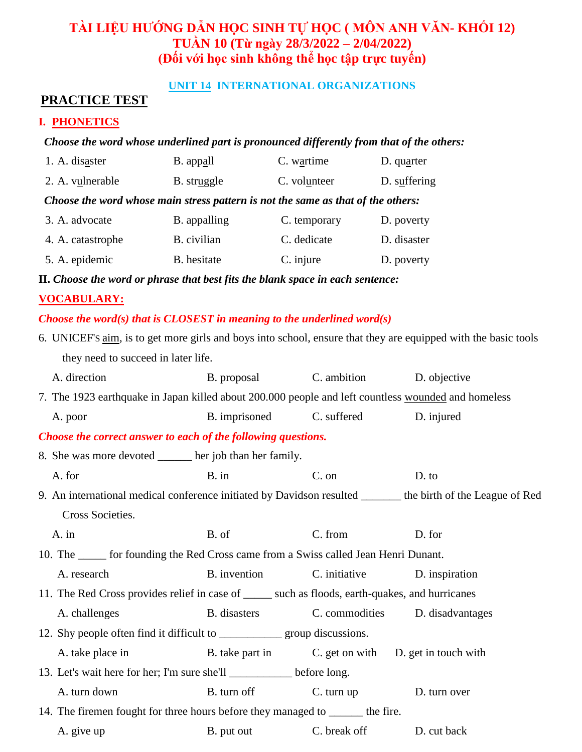# **TÀI LIỆU HƯỚNG DẪN HỌC SINH TỰ HỌC ( MÔN ANH VĂN- KHỐI 12) TUẦN 10 (Từ ngày 28/3/2022 – 2/04/2022) (Đối với học sinh không thể học tập trực tuyến)**

### **UNIT 14 INTERNATIONAL ORGANIZATIONS**

## **PRACTICE TEST**

### **I. PHONETICS**

#### *Choose the word whose underlined part is pronounced differently from that of the others:*

| 1. A. disaster                                                                   | B. appall    | C. wartime   | $D.$ quarter |  |  |  |
|----------------------------------------------------------------------------------|--------------|--------------|--------------|--|--|--|
| 2. A. vulnerable                                                                 | B. struggle  | C. volunteer | D. suffering |  |  |  |
| Choose the word whose main stress pattern is not the same as that of the others: |              |              |              |  |  |  |
| 3. A. advocate                                                                   | B. appalling | C. temporary | D. poverty   |  |  |  |
| 4. A. catastrophe                                                                | B. civilian  | C. dedicate  | D. disaster  |  |  |  |
| 5. A. epidemic                                                                   | B. hesitate  | C. injure    | D. poverty   |  |  |  |

**II.** *Choose the word or phrase that best fits the blank space in each sentence:*

#### **VOCABULARY:**

#### *Choose the word(s) that is CLOSEST in meaning to the underlined word(s)*

| 6. UNICEF's aim, is to get more girls and boys into school, ensure that they are equipped with the basic tools |                                                     |                |                  |  |  |  |
|----------------------------------------------------------------------------------------------------------------|-----------------------------------------------------|----------------|------------------|--|--|--|
| they need to succeed in later life.                                                                            |                                                     |                |                  |  |  |  |
| A. direction                                                                                                   | B. proposal                                         | C. ambition    | D. objective     |  |  |  |
| 7. The 1923 earthquake in Japan killed about 200.000 people and left countless wounded and homeless            |                                                     |                |                  |  |  |  |
| A. poor                                                                                                        | B. imprisoned                                       | C. suffered    | D. injured       |  |  |  |
| Choose the correct answer to each of the following questions.                                                  |                                                     |                |                  |  |  |  |
| 8. She was more devoted ______ her job than her family.                                                        |                                                     |                |                  |  |  |  |
| A. for                                                                                                         | $B.$ in                                             | C. on          | D. to            |  |  |  |
| 9. An international medical conference initiated by Davidson resulted ______ the birth of the League of Red    |                                                     |                |                  |  |  |  |
| Cross Societies.                                                                                               |                                                     |                |                  |  |  |  |
| A. in                                                                                                          | B. of                                               | C. from        | D. for           |  |  |  |
| 10. The ______ for founding the Red Cross came from a Swiss called Jean Henri Dunant.                          |                                                     |                |                  |  |  |  |
| A. research                                                                                                    | B. invention                                        | C. initiative  | D. inspiration   |  |  |  |
| 11. The Red Cross provides relief in case of ______ such as floods, earth-quakes, and hurricanes               |                                                     |                |                  |  |  |  |
| A. challenges                                                                                                  | B. disasters                                        | C. commodities | D. disadvantages |  |  |  |
|                                                                                                                |                                                     |                |                  |  |  |  |
| A. take place in                                                                                               | B. take part in C. get on with D. get in touch with |                |                  |  |  |  |
| 13. Let's wait here for her; I'm sure she'll _________ before long.                                            |                                                     |                |                  |  |  |  |
| A. turn down                                                                                                   | B. turn off                                         | C. turn up     | D. turn over     |  |  |  |
| 14. The firemen fought for three hours before they managed to _______ the fire.                                |                                                     |                |                  |  |  |  |
| A. give up                                                                                                     | B. put out                                          | C. break off   | D. cut back      |  |  |  |